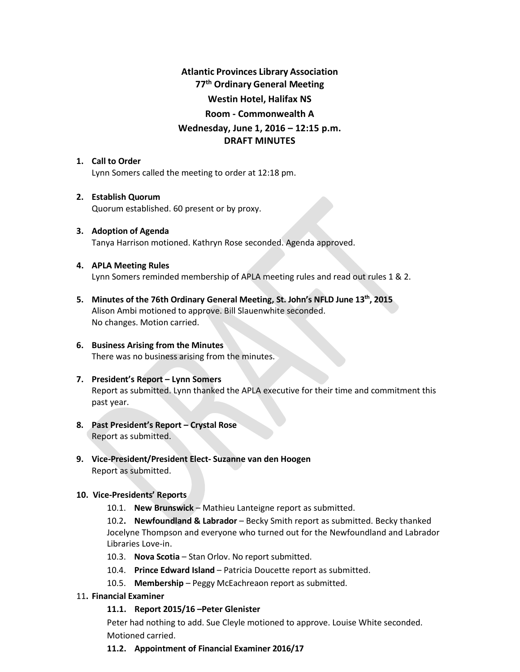# **Atlantic Provinces Library Association 77th Ordinary General Meeting Westin Hotel, Halifax NS Room - Commonwealth A Wednesday, June 1, 2016 – 12:15 p.m. DRAFT MINUTES**

# **1. Call to Order**

Lynn Somers called the meeting to order at 12:18 pm.

# **2. Establish Quorum**

Quorum established. 60 present or by proxy.

# **3. Adoption of Agenda** Tanya Harrison motioned. Kathryn Rose seconded. Agenda approved.

# **4. APLA Meeting Rules** Lynn Somers reminded membership of APLA meeting rules and read out rules 1 & 2.

**5. Minutes of the 76th Ordinary General Meeting, St. John's NFLD June 13th, 2015** Alison Ambi motioned to approve. Bill Slauenwhite seconded. No changes. Motion carried.

# **6. Business Arising from the Minutes** There was no business arising from the minutes.

# **7. President's Report – Lynn Somers** Report as submitted. Lynn thanked the APLA executive for their time and commitment this past year.

- **8. Past President's Report – Crystal Rose**  Report as submitted.
- **9. Vice-President/President Elect- Suzanne van den Hoogen** Report as submitted.

# **10. Vice-Presidents' Reports**

10.1. **New Brunswick** – Mathieu Lanteigne report as submitted.

10.2**. Newfoundland & Labrador** – Becky Smith report as submitted. Becky thanked Jocelyne Thompson and everyone who turned out for the Newfoundland and Labrador Libraries Love-in.

- 10.3. **Nova Scotia** Stan Orlov. No report submitted.
- 10.4. **Prince Edward Island** Patricia Doucette report as submitted.
- 10.5. **Membership**  Peggy McEachreaon report as submitted.

# 11**. Financial Examiner**

# **11.1. Report 2015/16 –Peter Glenister**

Peter had nothing to add. Sue Cleyle motioned to approve. Louise White seconded. Motioned carried.

# **11.2. Appointment of Financial Examiner 2016/17**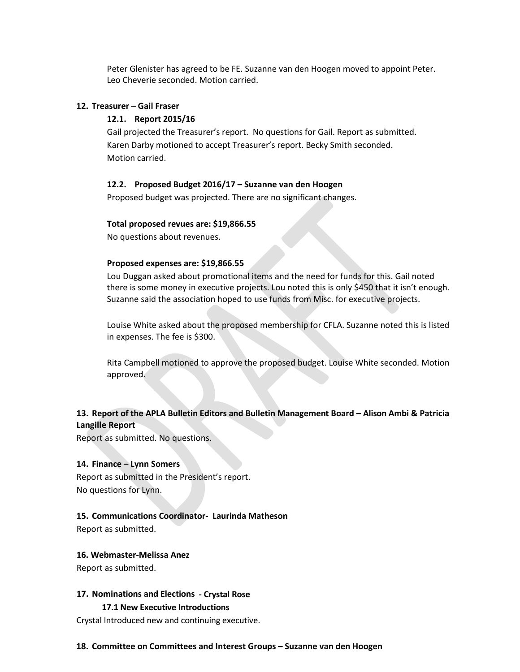Peter Glenister has agreed to be FE. Suzanne van den Hoogen moved to appoint Peter. Leo Cheverie seconded. Motion carried.

#### **12. Treasurer – Gail Fraser**

# **12.1. Report 2015/16**

Gail projected the Treasurer's report. No questions for Gail. Report as submitted. Karen Darby motioned to accept Treasurer's report. Becky Smith seconded. Motion carried.

#### **12.2. Proposed Budget 2016/17 – Suzanne van den Hoogen**

Proposed budget was projected. There are no significant changes.

#### **Total proposed revues are: \$19,866.55**

No questions about revenues.

#### **Proposed expenses are: \$19,866.55**

Lou Duggan asked about promotional items and the need for funds for this. Gail noted there is some money in executive projects. Lou noted this is only \$450 that it isn't enough. Suzanne said the association hoped to use funds from Misc. for executive projects.

Louise White asked about the proposed membership for CFLA. Suzanne noted this is listed in expenses. The fee is \$300.

Rita Campbell motioned to approve the proposed budget. Louise White seconded. Motion approved.

# **13. Report of the APLA Bulletin Editors and Bulletin Management Board – Alison Ambi & Patricia Langille Report**

Report as submitted. No questions.

# **14. Finance – Lynn Somers**

Report as submitted in the President's report. No questions for Lynn.

### **15. Communications Coordinator- Laurinda Matheson**

Report as submitted.

#### **16. Webmaster-Melissa Anez**

Report as submitted.

#### **17. Nominations and Elections - Crystal Rose**

### **17.1 New Executive Introductions**

Crystal Introduced new and continuing executive.

#### **18. Committee on Committees and Interest Groups – Suzanne van den Hoogen**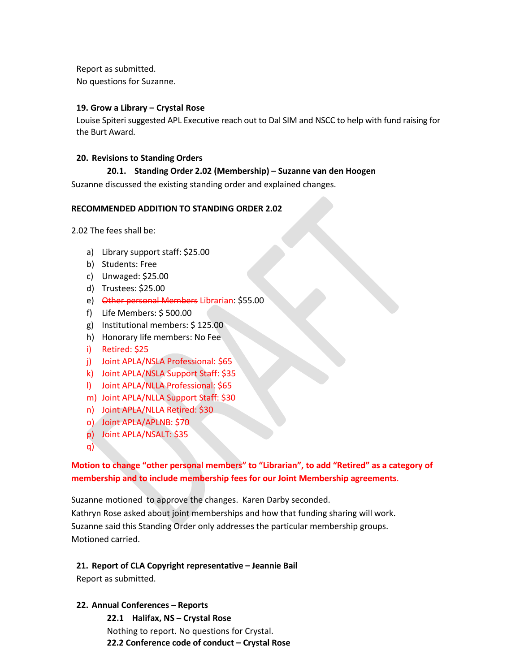Report as submitted. No questions for Suzanne.

### **19. Grow a Library – Crystal Rose**

Louise Spiteri suggested APL Executive reach out to Dal SIM and NSCC to help with fund raising for the Burt Award.

#### **20. Revisions to Standing Orders**

#### **20.1. Standing Order 2.02 (Membership) – Suzanne van den Hoogen**

Suzanne discussed the existing standing order and explained changes.

#### **RECOMMENDED ADDITION TO STANDING ORDER 2.02**

2.02 The fees shall be:

- a) Library support staff: \$25.00
- b) Students: Free
- c) Unwaged: \$25.00
- d) Trustees: \$25.00
- e) Other personal Members Librarian: \$55.00
- f) Life Members: \$ 500.00
- g) Institutional members: \$ 125.00
- h) Honorary life members: No Fee
- i) Retired: \$25
- j) Joint APLA/NSLA Professional: \$65
- k) Joint APLA/NSLA Support Staff: \$35
- l) Joint APLA/NLLA Professional: \$65
- m) Joint APLA/NLLA Support Staff: \$30
- n) Joint APLA/NLLA Retired: \$30
- o) Joint APLA/APLNB: \$70
- p) Joint APLA/NSALT: \$35
- q)

# **Motion to change "other personal members" to "Librarian", to add "Retired" as a category of membership and to include membership fees for our Joint Membership agreements**.

Suzanne motioned to approve the changes. Karen Darby seconded. Kathryn Rose asked about joint memberships and how that funding sharing will work. Suzanne said this Standing Order only addresses the particular membership groups. Motioned carried.

# **21. Report of CLA Copyright representative – Jeannie Bail**

Report as submitted.

#### **22. Annual Conferences – Reports**

**22.1 Halifax, NS – Crystal Rose** Nothing to report. No questions for Crystal. **22.2 Conference code of conduct – Crystal Rose**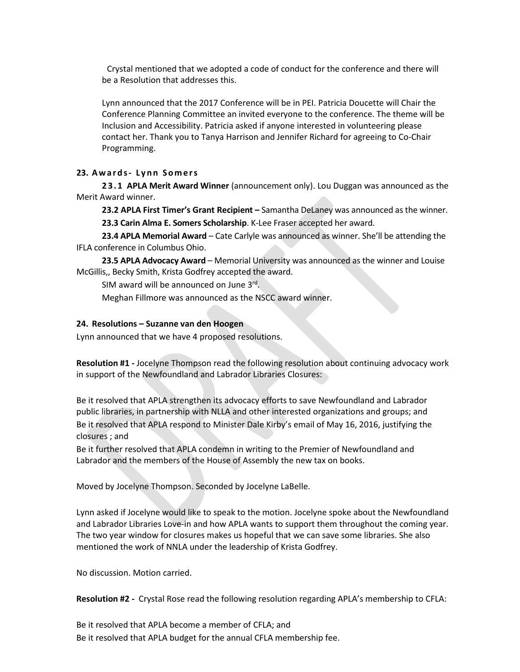Crystal mentioned that we adopted a code of conduct for the conference and there will be a Resolution that addresses this.

Lynn announced that the 2017 Conference will be in PEI. Patricia Doucette will Chair the Conference Planning Committee an invited everyone to the conference. The theme will be Inclusion and Accessibility. Patricia asked if anyone interested in volunteering please contact her. Thank you to Tanya Harrison and Jennifer Richard for agreeing to Co-Chair Programming.

#### **23. Awards- Lynn Somers**

**23.1 APLA Merit Award Winner** (announcement only). Lou Duggan was announced as the Merit Award winner.

**23.2 APLA First Timer's Grant Recipient –** Samantha DeLaney was announced as the winner.

**23.3 Carin Alma E. Somers Scholarship**. K-Lee Fraser accepted her award.

**23.4 APLA Memorial Award** – Cate Carlyle was announced as winner. She'll be attending the IFLA conference in Columbus Ohio.

**23.5 APLA Advocacy Award** – Memorial University was announced as the winner and Louise McGillis,, Becky Smith, Krista Godfrey accepted the award.

SIM award will be announced on June 3rd.

Meghan Fillmore was announced as the NSCC award winner.

#### **24. Resolutions – Suzanne van den Hoogen**

Lynn announced that we have 4 proposed resolutions.

**Resolution #1 -** Jocelyne Thompson read the following resolution about continuing advocacy work in support of the Newfoundland and Labrador Libraries Closures:

Be it resolved that APLA strengthen its advocacy efforts to save Newfoundland and Labrador public libraries, in partnership with NLLA and other interested organizations and groups; and Be it resolved that APLA respond to Minister Dale Kirby's email of May 16, 2016, justifying the closures ; and

Be it further resolved that APLA condemn in writing to the Premier of Newfoundland and Labrador and the members of the House of Assembly the new tax on books.

Moved by Jocelyne Thompson. Seconded by Jocelyne LaBelle.

Lynn asked if Jocelyne would like to speak to the motion. Jocelyne spoke about the Newfoundland and Labrador Libraries Love-in and how APLA wants to support them throughout the coming year. The two year window for closures makes us hopeful that we can save some libraries. She also mentioned the work of NNLA under the leadership of Krista Godfrey.

No discussion. Motion carried.

**Resolution #2 -** Crystal Rose read the following resolution regarding APLA's membership to CFLA:

Be it resolved that APLA become a member of CFLA; and Be it resolved that APLA budget for the annual CFLA membership fee.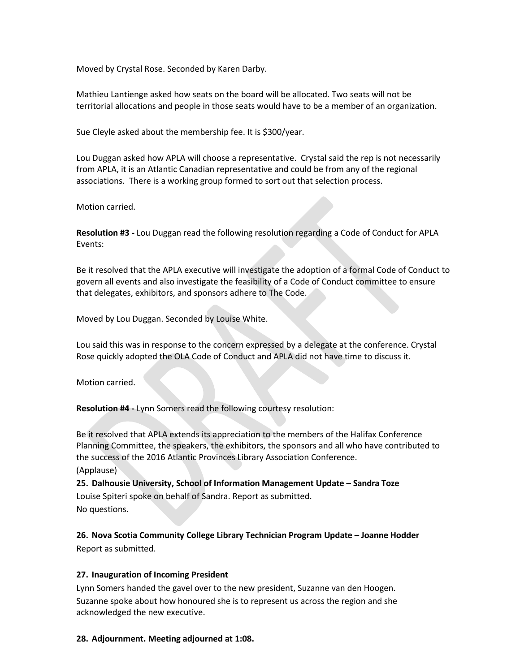Moved by Crystal Rose. Seconded by Karen Darby.

Mathieu Lantienge asked how seats on the board will be allocated. Two seats will not be territorial allocations and people in those seats would have to be a member of an organization.

Sue Cleyle asked about the membership fee. It is \$300/year.

Lou Duggan asked how APLA will choose a representative. Crystal said the rep is not necessarily from APLA, it is an Atlantic Canadian representative and could be from any of the regional associations. There is a working group formed to sort out that selection process.

Motion carried.

**Resolution #3 -** Lou Duggan read the following resolution regarding a Code of Conduct for APLA Events:

Be it resolved that the APLA executive will investigate the adoption of a formal Code of Conduct to govern all events and also investigate the feasibility of a Code of Conduct committee to ensure that delegates, exhibitors, and sponsors adhere to The Code.

Moved by Lou Duggan. Seconded by Louise White.

Lou said this was in response to the concern expressed by a delegate at the conference. Crystal Rose quickly adopted the OLA Code of Conduct and APLA did not have time to discuss it.

Motion carried.

**Resolution #4 -** Lynn Somers read the following courtesy resolution:

Be it resolved that APLA extends its appreciation to the members of the Halifax Conference Planning Committee, the speakers, the exhibitors, the sponsors and all who have contributed to the success of the 2016 Atlantic Provinces Library Association Conference.

(Applause)

**25. Dalhousie University, School of Information Management Update – Sandra Toze** Louise Spiteri spoke on behalf of Sandra. Report as submitted. No questions.

**26. Nova Scotia Community College Library Technician Program Update – Joanne Hodder** Report as submitted.

#### **27. Inauguration of Incoming President**

Lynn Somers handed the gavel over to the new president, Suzanne van den Hoogen. Suzanne spoke about how honoured she is to represent us across the region and she acknowledged the new executive.

**28. Adjournment. Meeting adjourned at 1:08.**